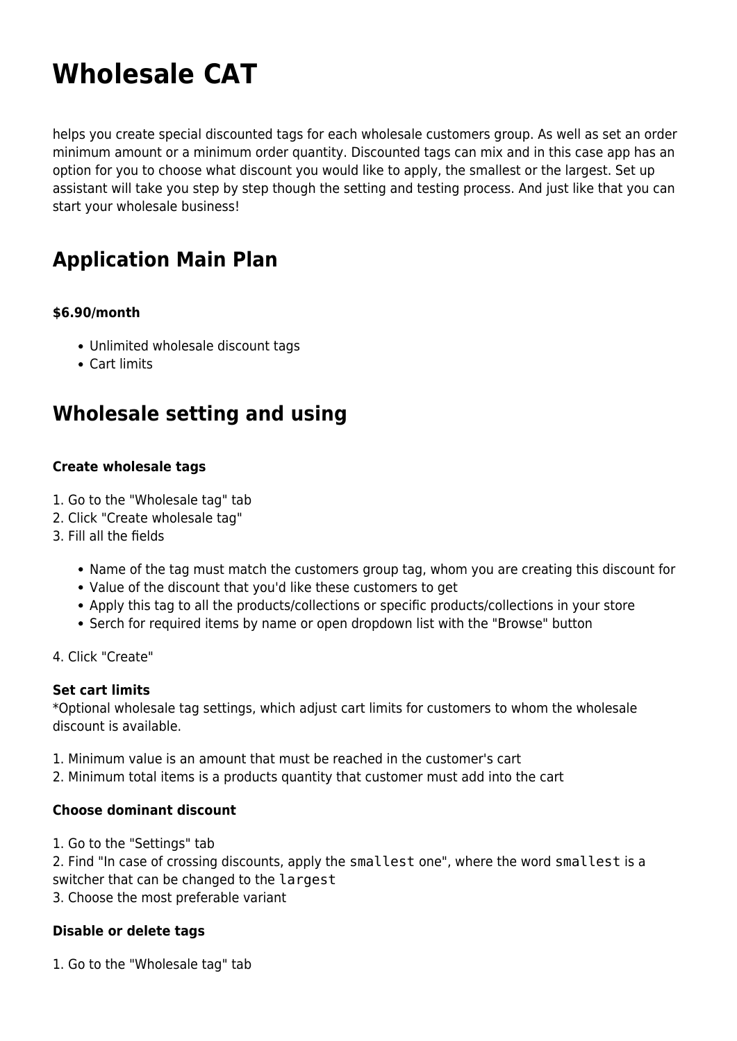# **Wholesale CAT**

helps you create special discounted tags for each wholesale customers group. As well as set an order minimum amount or a minimum order quantity. Discounted tags can mix and in this case app has an option for you to choose what discount you would like to apply, the smallest or the largest. Set up assistant will take you step by step though the setting and testing process. And just like that you can start your wholesale business!

# **Application Main Plan**

#### **\$6.90/month**

- Unlimited wholesale discount tags
- Cart limits

# **Wholesale setting and using**

#### **Create wholesale tags**

- 1. Go to the "Wholesale tag" tab
- 2. Click "Create wholesale tag"
- 3. Fill all the fields
	- Name of the tag must match the customers group tag, whom you are creating this discount for
	- Value of the discount that you'd like these customers to get
	- Apply this tag to all the products/collections or specific products/collections in your store
	- Serch for required items by name or open dropdown list with the "Browse" button
- 4. Click "Create"

#### **Set cart limits**

\*Optional wholesale tag settings, which adjust cart limits for customers to whom the wholesale discount is available.

- 1. Minimum value is an amount that must be reached in the customer's cart
- 2. Minimum total items is a products quantity that customer must add into the cart

#### **Choose dominant discount**

1. Go to the "Settings" tab

2. Find "In case of crossing discounts, apply the smallest one", where the word smallest is a switcher that can be changed to the largest

3. Choose the most preferable variant

#### **Disable or delete tags**

1. Go to the "Wholesale tag" tab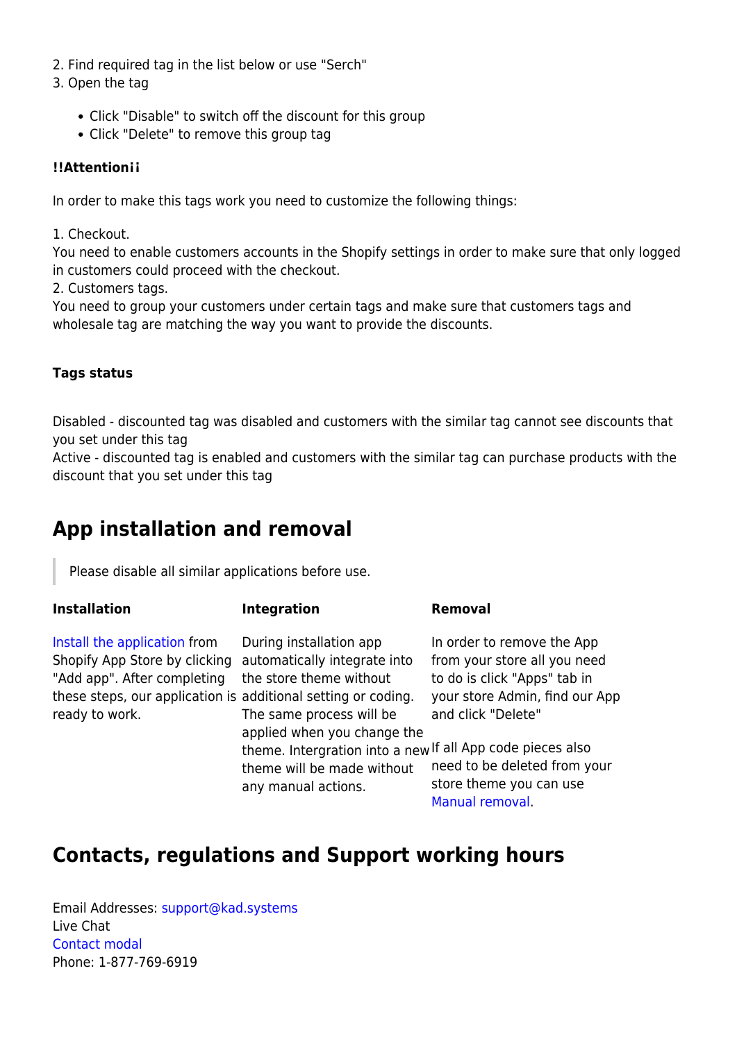- 2. Find required tag in the list below or use "Serch"
- 3. Open the tag
	- Click "Disable" to switch off the discount for this group
	- Click "Delete" to remove this group tag

#### **!!Attention¡¡**

In order to make this tags work you need to customize the following things:

1. Checkout.

You need to enable customers accounts in the Shopify settings in order to make sure that only logged in customers could proceed with the checkout.

2. Customers tags.

You need to group your customers under certain tags and make sure that customers tags and wholesale tag are matching the way you want to provide the discounts.

#### **Tags status**

Disabled - discounted tag was disabled and customers with the similar tag cannot see discounts that you set under this tag

Active - discounted tag is enabled and customers with the similar tag can purchase products with the discount that you set under this tag

## **App installation and removal**

Please disable all similar applications before use.

#### **Installation**

**Integration Removal**

[Install the application](https://apps.shopify.com/) from Shopify App Store by clicking automatically integrate into "Add app". After completing these steps, our application is additional setting or coding. ready to work.

During installation app the store theme without The same process will be applied when you change the theme will be made without any manual actions.

In order to remove the App from your store all you need to do is click "Apps" tab in your store Admin, find our App and click "Delete"

theme. Intergration into a new If all App code pieces also need to be deleted from your store theme you can use [Manual removal](https://wiki.kad.systems/doku.php/public/apps/wholesale/manual_uninstallation).

### **Contacts, regulations and Support working hours**

Email Addresses: [support@kad.systems](mailto:support@kad.systems) Live Chat [Contact modal](https://apps.shopify.com/#modal-show=ContactSupportModal) Phone: 1-877-769-6919